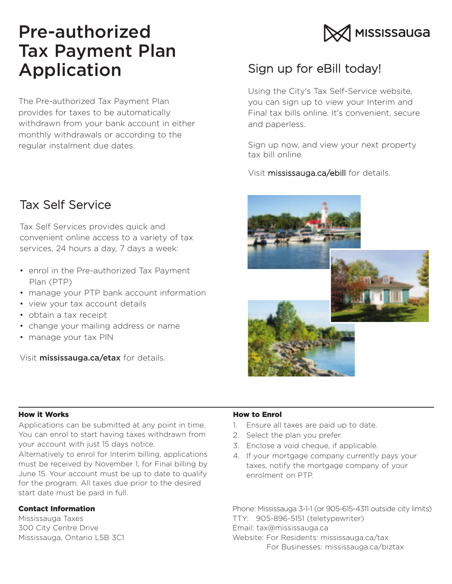# Pre-authorized Tax Payment Plan Application

The Pre-authorized Tax Payment Plan provides for taxes to be automatically withdrawn from your bank account in either monthly withdrawals or according to the regular instalment due dates.

# Tax Self Service

Tax Self Services provides quick and convenient online access to a variety of tax services, 24 hours a day, 7 days a week:

- enrol in the Pre-authorized Tax Payment Plan (PTP)
- manage your PTP bank account information
- view your tax account details
- obtain a tax receipt
- change your mailing address or name
- manage your tax PIN

Visit **mississauga.ca/etax** for details.

## How it Works

Applications can be submitted at any point in time. You can enrol to start having taxes withdrawn from your account with just 15 days notice.

Alternatively to enrol for Interim billing, applications must be received by November 1, for Final billing by June 15. Your account must be up to date to qualify for the program. All taxes due prior to the desired start date must be paid in full.

## Contact Information

Mississauga Taxes 300 City Centre Drive Mississauga, Ontario L5B 3C1

# **MISSISSAUGA**

# Sign up for eBill today!

Using the City's Tax Self-Service website, you can sign up to view your Interim and Final tax bills online. It's convenient, secure and paperless.

Sign up now, and view your next property tax bill online.

Visit mississauga.ca/ebill for details.



## How to Enrol

- 1. Ensure all taxes are paid up to date.
- 2. Select the plan you prefer.
- 3. Enclose a void cheque, if applicable.
- 4. If your mortgage company currently pays your taxes, notify the mortgage company of your enrolment on PTP.

Phone: Mississauga 3-1-1 (or 905-615-4311 outside city limits) TTY: 905-896-5151 (teletypewriter) Email: tax@mississauga.ca Website: For Residents: mississauga.ca/tax For Businesses: mississauga.ca/biztax